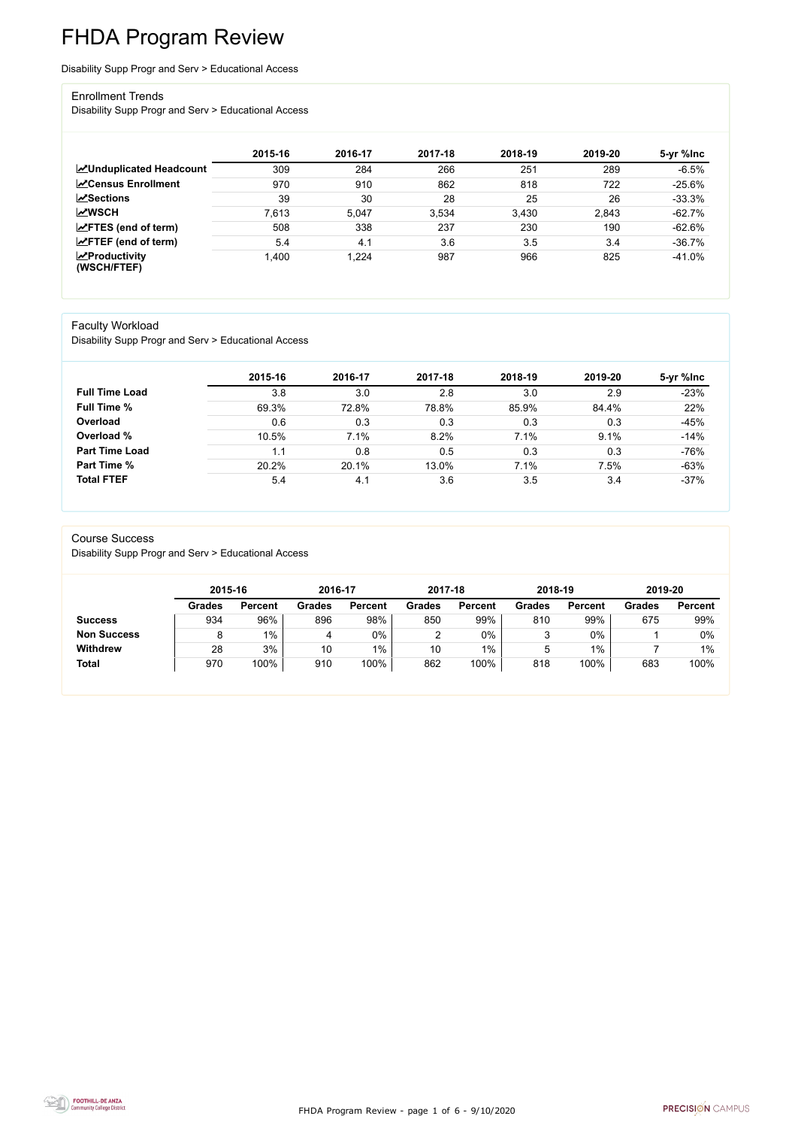FHDA Program Review - page 1 of 6 - 9/10/2020



# FHDA Program Review

Disability Supp Progr and Serv > Educational Access

#### Enrollment Trends

Disability Supp Progr and Serv > Educational Access

|                                                  | 2015-16 | 2016-17 | 2017-18 | 2018-19 | 2019-20 | 5-yr %lnc |
|--------------------------------------------------|---------|---------|---------|---------|---------|-----------|
| <b>MUnduplicated Headcount</b>                   | 309     | 284     | 266     | 251     | 289     | $-6.5%$   |
| <b>∠</b> Census Enrollment                       | 970     | 910     | 862     | 818     | 722     | $-25.6%$  |
| <b>ZSections</b>                                 | 39      | 30      | 28      | 25      | 26      | $-33.3%$  |
| <b>MWSCH</b>                                     | 7,613   | 5,047   | 3,534   | 3,430   | 2,843   | $-62.7%$  |
| $\angle$ FTES (end of term)                      | 508     | 338     | 237     | 230     | 190     | $-62.6\%$ |
| $\angle$ FTEF (end of term)                      | 5.4     | 4.1     | 3.6     | 3.5     | 3.4     | $-36.7%$  |
| $\sqrt{\frac{1}{2}}$ Productivity<br>(WSCH/FTEF) | 1,400   | 1,224   | 987     | 966     | 825     | $-41.0%$  |

#### Faculty Workload

Disability Supp Progr and Serv > Educational Access

|                       | 2015-16 | 2016-17 | 2017-18 | 2018-19 | 2019-20 | 5-yr %lnc |
|-----------------------|---------|---------|---------|---------|---------|-----------|
| <b>Full Time Load</b> | 3.8     | 3.0     | 2.8     | 3.0     | 2.9     | $-23%$    |
| <b>Full Time %</b>    | 69.3%   | 72.8%   | 78.8%   | 85.9%   | 84.4%   | 22%       |
| Overload              | 0.6     | 0.3     | 0.3     | 0.3     | 0.3     | $-45%$    |
| Overload %            | 10.5%   | 7.1%    | 8.2%    | 7.1%    | 9.1%    | $-14%$    |
| <b>Part Time Load</b> | 1.1     | 0.8     | 0.5     | 0.3     | 0.3     | $-76%$    |
| <b>Part Time %</b>    | 20.2%   | 20.1%   | 13.0%   | 7.1%    | 7.5%    | $-63%$    |
| <b>Total FTEF</b>     | 5.4     | 4.1     | 3.6     | 3.5     | 3.4     | $-37%$    |

#### Course Success

Disability Supp Progr and Serv > Educational Access

|                    |               | 2015-16        |               | 2016-17        | 2017-18       |                | 2018-19       |                | 2019-20       |                |
|--------------------|---------------|----------------|---------------|----------------|---------------|----------------|---------------|----------------|---------------|----------------|
|                    | <b>Grades</b> | <b>Percent</b> | <b>Grades</b> | <b>Percent</b> | <b>Grades</b> | <b>Percent</b> | <b>Grades</b> | <b>Percent</b> | <b>Grades</b> | <b>Percent</b> |
| <b>Success</b>     | 934           | 96%            | 896           | 98%            | 850           | 99%            | 810           | 99%            | 675           | 99%            |
| <b>Non Success</b> |               | $1\%$          | 4             | 0%             | ⌒             | 0%             |               | 0%             |               | $0\%$          |
| <b>Withdrew</b>    | 28            | 3%             | 10            | $1\%$          | 10            | $1\%$          | ხ             | 1%             |               | 1%             |
| <b>Total</b>       | 970           | 100%           | 910           | 100%           | 862           | 100%           | 818           | 100%           | 683           | 100%           |

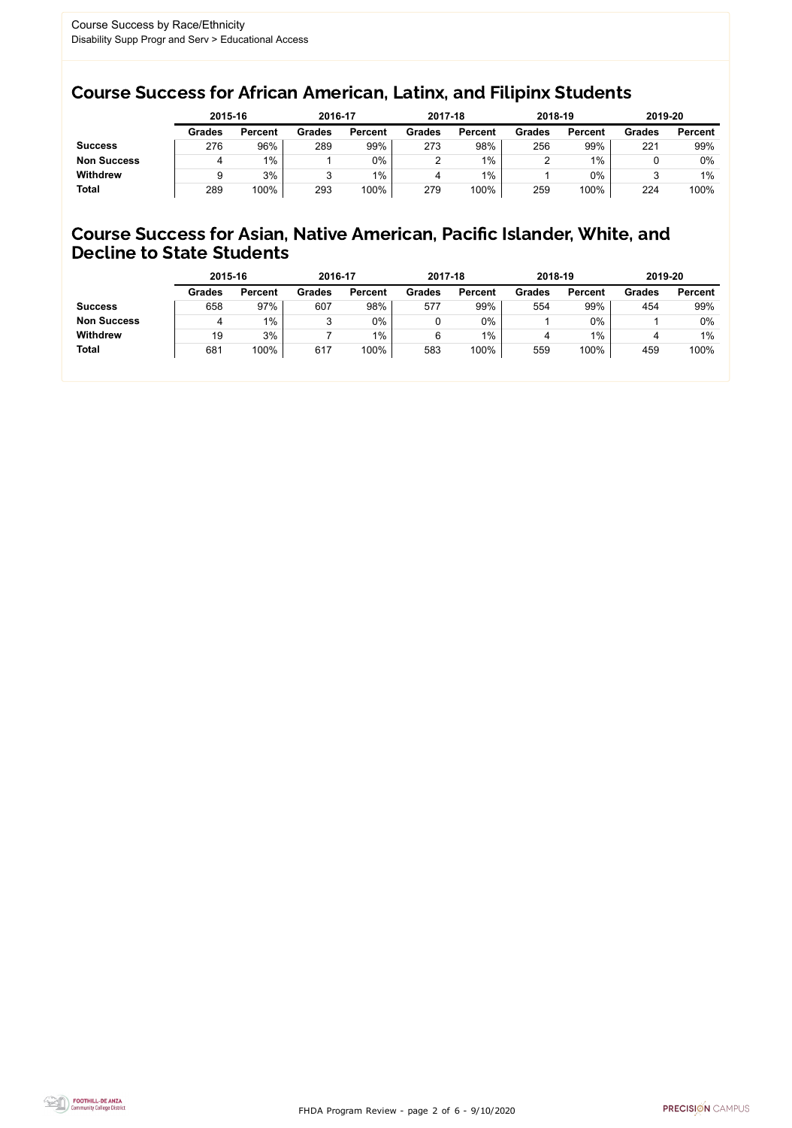FHDA Program Review - page 2 of 6 - 9/10/2020



## Course Success for African American, Latinx, and Filipinx Students

## Course Success for Asian, Native American, Pacific Islander, White, and Decline to State Students

|                    |               | 2015-16        |               | 2016-17        |               | 2017-18        | 2018-19       |                | 2019-20       |                |
|--------------------|---------------|----------------|---------------|----------------|---------------|----------------|---------------|----------------|---------------|----------------|
|                    | <b>Grades</b> | <b>Percent</b> | <b>Grades</b> | <b>Percent</b> | <b>Grades</b> | <b>Percent</b> | <b>Grades</b> | <b>Percent</b> | <b>Grades</b> | <b>Percent</b> |
| <b>Success</b>     | 276           | 96%            | 289           | 99%            | 273           | 98%            | 256           | 99%            | 221           | 99%            |
| <b>Non Success</b> |               | $1\%$          |               | $0\%$          |               | $1\%$          |               | $1\%$          |               | 0%             |
| <b>Withdrew</b>    |               | 3%             |               | $1\%$          |               | $1\%$          |               | 0%             |               | $1\%$          |
| <b>Total</b>       | 289           | 100%           | 293           | 100%           | 279           | 100%           | 259           | 100%           | 224           | 100%           |

|                    | 2015-16       |                | 2016-17       |                | 2017-18       |                | 2018-19       |                | 2019-20       |                |
|--------------------|---------------|----------------|---------------|----------------|---------------|----------------|---------------|----------------|---------------|----------------|
|                    | <b>Grades</b> | <b>Percent</b> | <b>Grades</b> | <b>Percent</b> | <b>Grades</b> | <b>Percent</b> | <b>Grades</b> | <b>Percent</b> | <b>Grades</b> | <b>Percent</b> |
| <b>Success</b>     | 658           | 97%            | 607           | 98%            | 577           | 99%            | 554           | 99%            | 454           | 99%            |
| <b>Non Success</b> |               | 1%             | າ<br>ິ        | 0%             |               | $0\%$          |               | $0\%$          |               | 0%             |
| <b>Withdrew</b>    | 19            | 3%             |               | $1\%$          | 6             | $1\%$          | 4             | $1\%$          |               | $1\%$          |
| <b>Total</b>       | 681           | 100%           | 617           | 100%           | 583           | 100%           | 559           | 100%           | 459           | 100%           |
|                    |               |                |               |                |               |                |               |                |               |                |

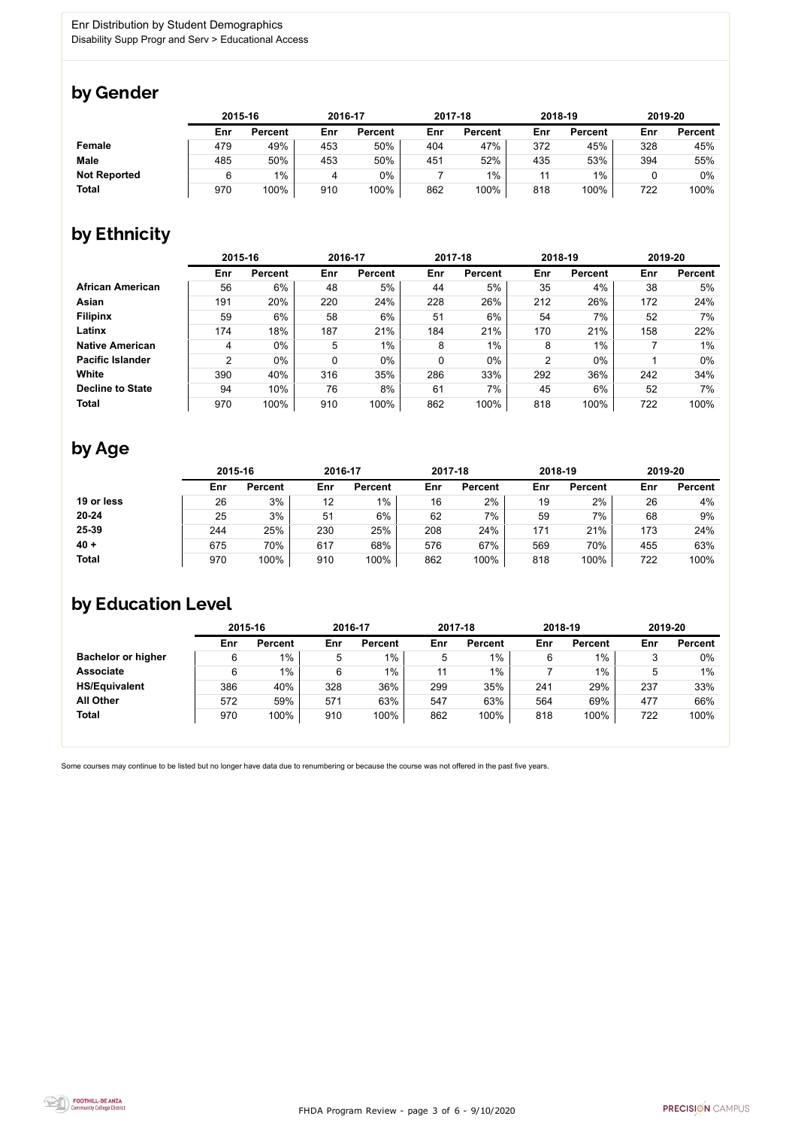

Some courses may continue to be listed but no longer have data due to renumbering or because the course was not offered in the past five years.



## by Gender

|                     |     | 2015-16        |     | 2016-17        |     | 2017-18        |     | 2018-19        |     | 2019-20        |  |
|---------------------|-----|----------------|-----|----------------|-----|----------------|-----|----------------|-----|----------------|--|
|                     | Enr | <b>Percent</b> | Enr | <b>Percent</b> | Enr | <b>Percent</b> | Enr | <b>Percent</b> | Enr | <b>Percent</b> |  |
| <b>Female</b>       | 479 | 49%            | 453 | 50%            | 404 | 47%            | 372 | 45%            | 328 | 45%            |  |
| <b>Male</b>         | 485 | 50%            | 453 | 50%            | 451 | 52%            | 435 | 53%            | 394 | 55%            |  |
| <b>Not Reported</b> |     | $1\%$          |     | 0%             |     | $1\%$          | 11  | $1\%$          |     | 0%             |  |
| <b>Total</b>        | 970 | 100%           | 910 | 100%           | 862 | 100%           | 818 | 100%           | 722 | 100%           |  |

# by Ethnicity

|                         | 2015-16        |                |     | 2016-17        |             | 2017-18        |                | 2018-19        | 2019-20 |                |
|-------------------------|----------------|----------------|-----|----------------|-------------|----------------|----------------|----------------|---------|----------------|
|                         | Enr            | <b>Percent</b> | Enr | <b>Percent</b> | Enr         | <b>Percent</b> | Enr            | <b>Percent</b> | Enr     | <b>Percent</b> |
| <b>African American</b> | 56             | 6%             | 48  | 5%             | 44          | 5%             | 35             | 4%             | 38      | 5%             |
| <b>Asian</b>            | 191            | 20%            | 220 | 24%            | 228         | 26%            | 212            | 26%            | 172     | 24%            |
| <b>Filipinx</b>         | 59             | 6%             | 58  | 6%             | 51          | 6%             | 54             | 7%             | 52      | 7%             |
| Latinx                  | 174            | 18%            | 187 | 21%            | 184         | 21%            | 170            | 21%            | 158     | 22%            |
| <b>Native American</b>  | 4              | $0\%$          | 5   | $1\%$          | 8           | $1\%$          | 8              | $1\%$          |         | $1\%$          |
| <b>Pacific Islander</b> | $\overline{2}$ | $0\%$          | 0   | $0\%$          | $\mathbf 0$ | $0\%$          | $\overline{2}$ | $0\%$          |         | $0\%$          |
| <b>White</b>            | 390            | 40%            | 316 | 35%            | 286         | 33%            | 292            | 36%            | 242     | 34%            |
| <b>Decline to State</b> | 94             | 10%            | 76  | 8%             | 61          | 7%             | 45             | 6%             | 52      | $7\%$          |
| <b>Total</b>            | 970            | 100%           | 910 | 100%           | 862         | 100%           | 818            | 100%           | 722     | 100%           |

# by Age

|              | 2015-16 |                |     | 2016-17        |     | 2017-18        |     | 2018-19        |     | 2019-20        |  |
|--------------|---------|----------------|-----|----------------|-----|----------------|-----|----------------|-----|----------------|--|
|              | Enr     | <b>Percent</b> | Enr | <b>Percent</b> | Enr | <b>Percent</b> | Enr | <b>Percent</b> | Enr | <b>Percent</b> |  |
| 19 or less   | 26      | 3%             | 12  | $1\%$          | 16  | 2%             | 19  | 2%             | 26  | 4%             |  |
| $20 - 24$    | 25      | 3%             | 51  | 6%             | 62  | 7%             | 59  | 7%             | 68  | 9%             |  |
| 25-39        | 244     | 25%            | 230 | 25%            | 208 | 24%            | 171 | 21%            | 173 | 24%            |  |
| $40 +$       | 675     | 70%            | 617 | 68%            | 576 | 67%            | 569 | 70%            | 455 | 63%            |  |
| <b>Total</b> | 970     | 100%           | 910 | 100%           | 862 | 100%           | 818 | 100%           | 722 | 100%           |  |

# by Education Level

|                           | 2015-16 |                |     | 2016-17        |     | 2017-18        | 2018-19 |                | 2019-20 |                |
|---------------------------|---------|----------------|-----|----------------|-----|----------------|---------|----------------|---------|----------------|
|                           | Enr     | <b>Percent</b> | Enr | <b>Percent</b> | Enr | <b>Percent</b> | Enr     | <b>Percent</b> | Enr     | <b>Percent</b> |
| <b>Bachelor or higher</b> | 6       | $1\%$          | 5   | $1\%$          | 5   | $1\%$          |         | $1\%$          |         | $0\%$          |
| <b>Associate</b>          | 6       | $1\%$          | 6   | $1\%$          | 11  | 1%             |         | 1%             |         | $1\%$          |
| <b>HS/Equivalent</b>      | 386     | 40%            | 328 | 36%            | 299 | 35%            | 241     | 29%            | 237     | 33%            |
| <b>All Other</b>          | 572     | 59%            | 571 | 63%            | 547 | 63%            | 564     | 69%            | 477     | 66%            |
| <b>Total</b>              | 970     | 100%           | 910 | 100%           | 862 | 100%           | 818     | 100%           | 722     | 100%           |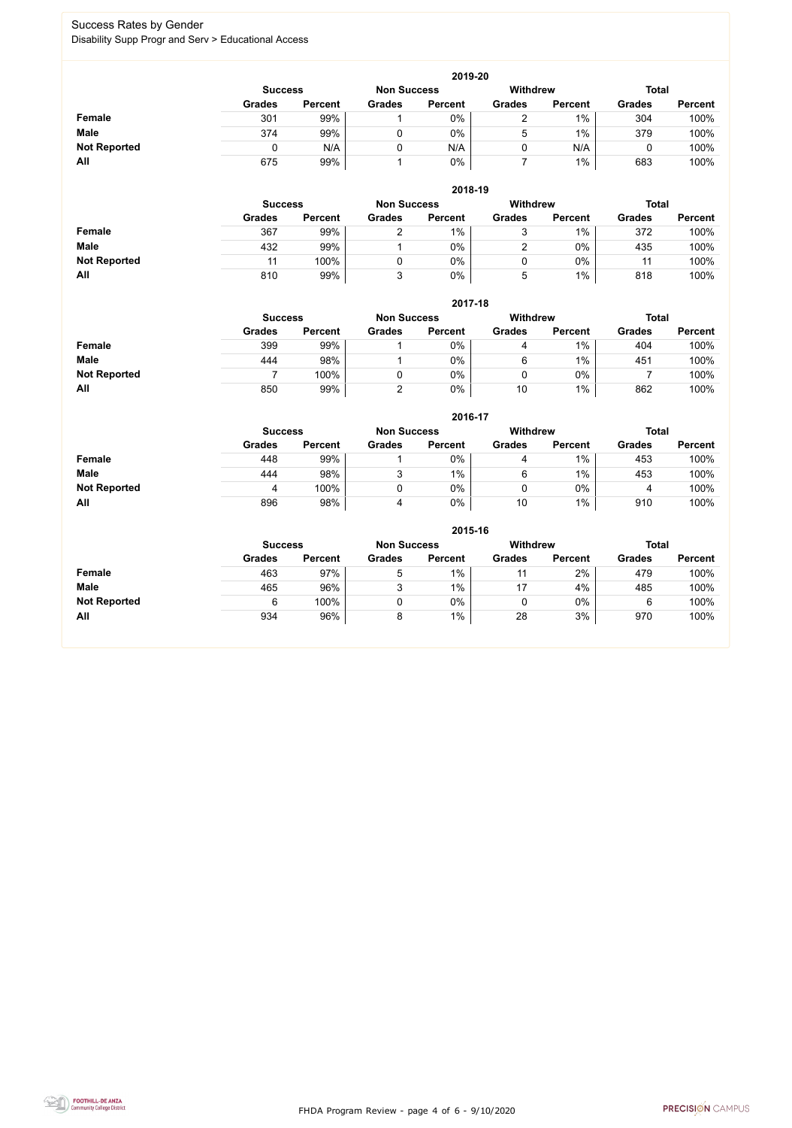FHDA Program Review - page 4 of 6 - 9/10/2020



## Success Rates by Gender Disability Supp Progr and Serv > Educational Access

|                     | 2019-20                                                                 |                |               |                |               |                |               |                |  |  |  |  |
|---------------------|-------------------------------------------------------------------------|----------------|---------------|----------------|---------------|----------------|---------------|----------------|--|--|--|--|
|                     | <b>Total</b><br><b>Withdrew</b><br><b>Non Success</b><br><b>Success</b> |                |               |                |               |                |               |                |  |  |  |  |
|                     | <b>Grades</b>                                                           | <b>Percent</b> | <b>Grades</b> | <b>Percent</b> | <b>Grades</b> | <b>Percent</b> | <b>Grades</b> | <b>Percent</b> |  |  |  |  |
| <b>Female</b>       | 301                                                                     | 99%            |               | $0\%$          |               | 1%             | 304           | 100%           |  |  |  |  |
| <b>Male</b>         | 374                                                                     | 99%            |               | 0%             | ხ             | $1\%$          | 379           | 100%           |  |  |  |  |
| <b>Not Reported</b> |                                                                         | N/A            |               | N/A            |               | N/A            |               | 100%           |  |  |  |  |
| All                 | 675                                                                     | 99%            |               | $0\%$          |               | $1\%$          | 683           | 100%           |  |  |  |  |

|                     | 2018-19        |                |                    |                |                 |                |               |                |  |  |  |  |  |
|---------------------|----------------|----------------|--------------------|----------------|-----------------|----------------|---------------|----------------|--|--|--|--|--|
|                     | <b>Success</b> |                | <b>Non Success</b> |                | <b>Withdrew</b> |                | <b>Total</b>  |                |  |  |  |  |  |
|                     | <b>Grades</b>  | <b>Percent</b> | <b>Grades</b>      | <b>Percent</b> | <b>Grades</b>   | <b>Percent</b> | <b>Grades</b> | <b>Percent</b> |  |  |  |  |  |
| <b>Female</b>       | 367            | 99%            |                    | $1\%$          | ັ               | 1%             | 372           | 100%           |  |  |  |  |  |
| <b>Male</b>         | 432            | 99%            |                    | 0%             | າ               | $0\%$          | 435           | 100%           |  |  |  |  |  |
| <b>Not Reported</b> | 11             | 100%           |                    | 0%             |                 | $0\%$          | 11            | 100%           |  |  |  |  |  |
| All                 | 810            | 99%            |                    | $0\%$          | $\mathbf b$     | 1%             | 818           | 100%           |  |  |  |  |  |

|                     |               | 2017-18                                                 |               |                |               |                |               |                |  |  |  |  |  |  |
|---------------------|---------------|---------------------------------------------------------|---------------|----------------|---------------|----------------|---------------|----------------|--|--|--|--|--|--|
|                     |               | <b>Withdrew</b><br><b>Non Success</b><br><b>Success</b> |               |                |               |                |               | <b>Total</b>   |  |  |  |  |  |  |
|                     | <b>Grades</b> | <b>Percent</b>                                          | <b>Grades</b> | <b>Percent</b> | <b>Grades</b> | <b>Percent</b> | <b>Grades</b> | <b>Percent</b> |  |  |  |  |  |  |
| <b>Female</b>       | 399           | 99%                                                     |               | 0%             | 4             | 1%             | 404           | 100%           |  |  |  |  |  |  |
| <b>Male</b>         | 444           | 98%                                                     |               | 0%             | 6             | $1\%$          | 451           | 100%           |  |  |  |  |  |  |
| <b>Not Reported</b> |               | 100%                                                    |               | 0%             |               | $0\%$          |               | 100%           |  |  |  |  |  |  |
| All                 | 850           | 99%                                                     |               | 0%             | 10            | $1\%$          | 862           | 100%           |  |  |  |  |  |  |

|                     |                | 2016-17        |                    |                |                 |                |               |                |  |
|---------------------|----------------|----------------|--------------------|----------------|-----------------|----------------|---------------|----------------|--|
|                     | <b>Success</b> |                | <b>Non Success</b> |                | <b>Withdrew</b> |                | <b>Total</b>  |                |  |
|                     | <b>Grades</b>  | <b>Percent</b> | <b>Grades</b>      | <b>Percent</b> | <b>Grades</b>   | <b>Percent</b> | <b>Grades</b> | <b>Percent</b> |  |
| Female              | 448            | 99%            |                    | 0%             | 4               | $1\%$          | 453           | 100%           |  |
| <b>Male</b>         | 444            | 98%            | ົ                  | 1%             | 6               | $1\%$          | 453           | 100%           |  |
| <b>Not Reported</b> | 4              | 100%           |                    | 0%             |                 | $0\%$          | 4             | 100%           |  |
| All                 | 896            | 98%            | 4                  | 0%             | 10              | $1\%$          | 910           | 100%           |  |

|                     | 2015-16                                                 |                |               |                |               |                |               |                |  |
|---------------------|---------------------------------------------------------|----------------|---------------|----------------|---------------|----------------|---------------|----------------|--|
|                     | <b>Withdrew</b><br><b>Non Success</b><br><b>Success</b> |                |               |                |               |                |               | <b>Total</b>   |  |
|                     | <b>Grades</b>                                           | <b>Percent</b> | <b>Grades</b> | <b>Percent</b> | <b>Grades</b> | <b>Percent</b> | <b>Grades</b> | <b>Percent</b> |  |
| Female              | 463                                                     | 97%            | 5             | 1%             |               | 2%             | 479           | 100%           |  |
| <b>Male</b>         | 465                                                     | 96%            | 3             | 1%             | 17            | 4%             | 485           | 100%           |  |
| <b>Not Reported</b> | 6                                                       | 100%           |               | $0\%$          | U             | $0\%$          | 6             | 100%           |  |
| All                 | 934                                                     | 96%            | 8             | $1\%$          | 28            | 3%             | 970           | 100%           |  |

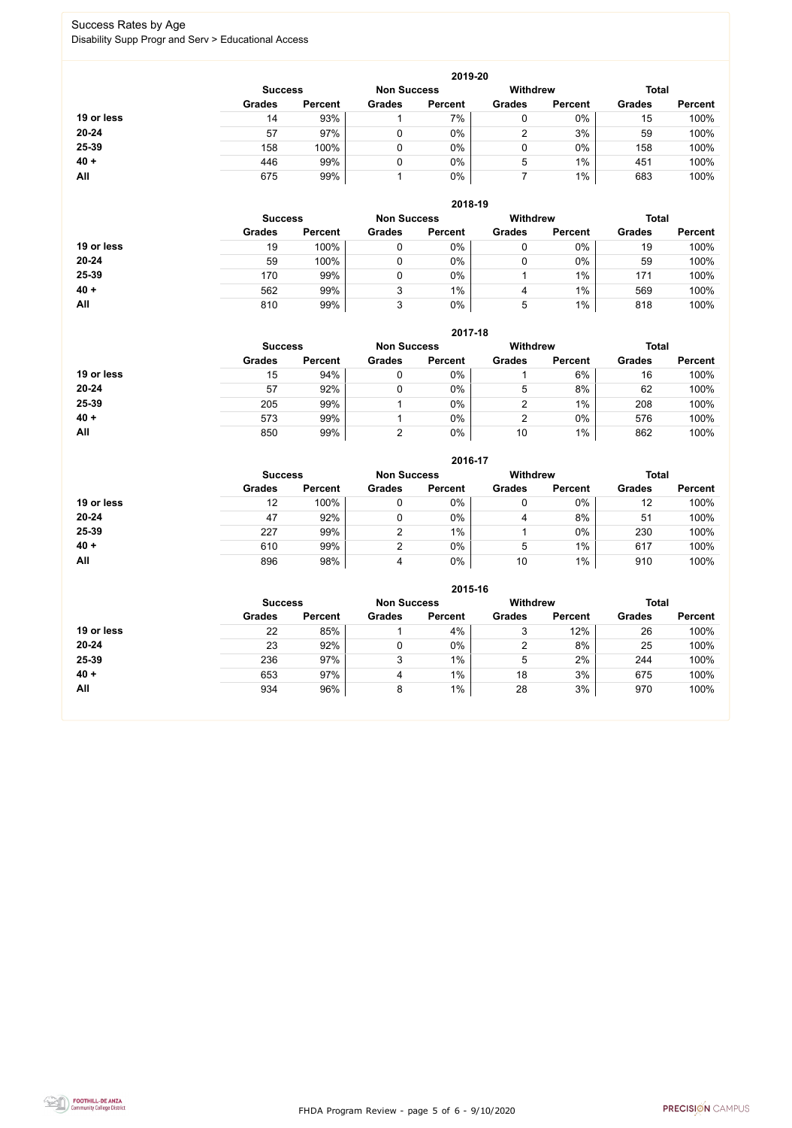FHDA Program Review - page 5 of 6 - 9/10/2020



## Success Rates by Age Disability Supp Progr and Serv > Educational Access

|            |                |                    |               | 2019-20         |               |                |               |                |
|------------|----------------|--------------------|---------------|-----------------|---------------|----------------|---------------|----------------|
|            | <b>Success</b> | <b>Non Success</b> |               | <b>Withdrew</b> |               | <b>Total</b>   |               |                |
|            | <b>Grades</b>  | <b>Percent</b>     | <b>Grades</b> | <b>Percent</b>  | <b>Grades</b> | <b>Percent</b> | <b>Grades</b> | <b>Percent</b> |
| 19 or less | 14             | 93%                |               | 7%              | 0             | $0\%$          | 15            | 100%           |
| $20 - 24$  | 57             | 97%                |               | $0\%$           | າ             | 3%             | 59            | 100%           |
| 25-39      | 158            | 100%               | 0             | $0\%$           | 0             | 0%             | 158           | 100%           |
| $40 +$     | 446            | 99%                |               | 0%              | 5             | $1\%$          | 451           | 100%           |
| All        | 675            | 99%                |               | $0\%$           |               | $1\%$          | 683           | 100%           |

|            |                |                    |               | 2018-19         |               |                |               |                |
|------------|----------------|--------------------|---------------|-----------------|---------------|----------------|---------------|----------------|
|            | <b>Success</b> | <b>Non Success</b> |               | <b>Withdrew</b> |               | <b>Total</b>   |               |                |
|            | <b>Grades</b>  | <b>Percent</b>     | <b>Grades</b> | <b>Percent</b>  | <b>Grades</b> | <b>Percent</b> | <b>Grades</b> | <b>Percent</b> |
| 19 or less | 19             | 100%               | 0             | $0\%$           | 0             | $0\%$          | 19            | 100%           |
| $20 - 24$  | 59             | 100%               |               | $0\%$           |               | $0\%$          | 59            | 100%           |
| 25-39      | 170            | 99%                |               | $0\%$           |               | $1\%$          | 171           | 100%           |
| $40 +$     | 562            | 99%                | 3             | $1\%$           | 4             | $1\%$          | 569           | 100%           |
| All        | 810            | 99%                | 3             | $0\%$           | 5             | 1%             | 818           | 100%           |

#### **2017-18**

|            |                |                    |               | 2017-18         |               |                |               |                |
|------------|----------------|--------------------|---------------|-----------------|---------------|----------------|---------------|----------------|
|            | <b>Success</b> | <b>Non Success</b> |               | <b>Withdrew</b> |               | <b>Total</b>   |               |                |
|            | <b>Grades</b>  | <b>Percent</b>     | <b>Grades</b> | <b>Percent</b>  | <b>Grades</b> | <b>Percent</b> | <b>Grades</b> | <b>Percent</b> |
| 19 or less | 15             | 94%                |               | 0%              |               | 6%             | 16            | 100%           |
| $20 - 24$  | 57             | 92%                |               | 0%              | 5             | 8%             | 62            | 100%           |
| 25-39      | 205            | 99%                |               | 0%              |               | 1%             | 208           | 100%           |
| $40 +$     | 573            | 99%                |               | 0%              |               | $0\%$          | 576           | 100%           |
| All        | 850            | 99%                |               | 0%              | 10            | $1\%$          | 862           | 100%           |

#### **2016-17**



|            |                |                    |               | 2010-17         |               |                |               |                |
|------------|----------------|--------------------|---------------|-----------------|---------------|----------------|---------------|----------------|
|            | <b>Success</b> | <b>Non Success</b> |               | <b>Withdrew</b> |               | <b>Total</b>   |               |                |
|            | <b>Grades</b>  | <b>Percent</b>     | <b>Grades</b> | <b>Percent</b>  | <b>Grades</b> | <b>Percent</b> | <b>Grades</b> | <b>Percent</b> |
| 19 or less | 12             | 100%               |               | 0%              |               | $0\%$          | 12            | 100%           |
| $20 - 24$  | 47             | 92%                |               | 0%              | 4             | 8%             | 51            | 100%           |
| 25-39      | 227            | 99%                |               | $1\%$           |               | $0\%$          | 230           | 100%           |
| $40 +$     | 610            | 99%                |               | 0%              | 5             | $1\%$          | 617           | 100%           |
| All        | 896            | 98%                |               | 0%              | 10            | $1\%$          | 910           | 100%           |

|            |                                      |                |               | 2015-16        |               |                 |               |                |
|------------|--------------------------------------|----------------|---------------|----------------|---------------|-----------------|---------------|----------------|
|            | <b>Non Success</b><br><b>Success</b> |                |               |                |               | <b>Withdrew</b> | <b>Total</b>  |                |
|            | <b>Grades</b>                        | <b>Percent</b> | <b>Grades</b> | <b>Percent</b> | <b>Grades</b> | <b>Percent</b>  | <b>Grades</b> | <b>Percent</b> |
| 19 or less | 22                                   | 85%            |               | 4%             | 3             | 12%             | 26            | 100%           |
| 20-24      | 23                                   | 92%            |               | $0\%$          | 2             | 8%              | 25            | 100%           |
| 25-39      | 236                                  | 97%            | 3             | 1%             | 5             | 2%              | 244           | 100%           |
| $40 +$     | 653                                  | 97%            | 4             | 1%             | 18            | 3%              | 675           | 100%           |
| All        | 934                                  | 96%            | 8             | $1\%$          | 28            | 3%              | 970           | 100%           |